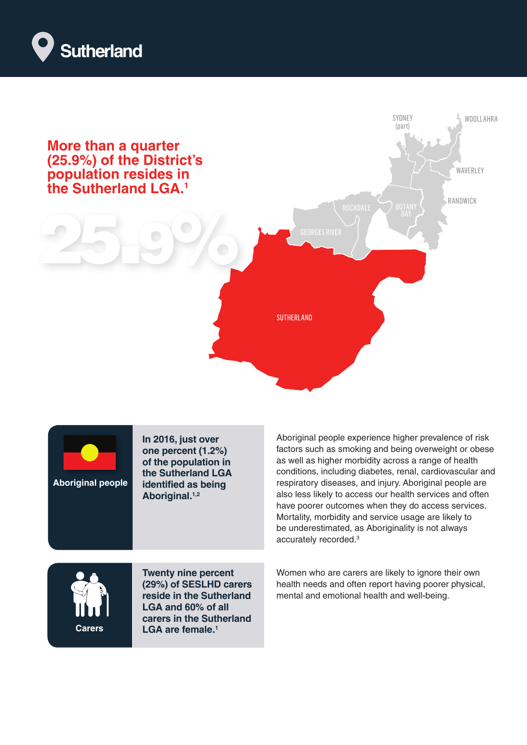





**In 2016, just over one percent (1.2%) of the population in the Sutherland LGA identified as being Aboriginal.1,2** 

Aboriginal people experience higher prevalence of risk factors such as smoking and being overweight or obese as well as higher morbidity across a range of health conditions, including diabetes, renal, cardiovascular and respiratory diseases, and injury. Aboriginal people are also less likely to access our health services and often have poorer outcomes when they do access services. Mortality, morbidity and service usage are likely to be underestimated, as Aboriginality is not always accurately recorded.3



**Twenty nine percent (29%) of SESLHD carers reside in the Sutherland LGA and 60% of all carers in the Sutherland LGA are female.1** 

Women who are carers are likely to ignore their own health needs and often report having poorer physical, mental and emotional health and well-being.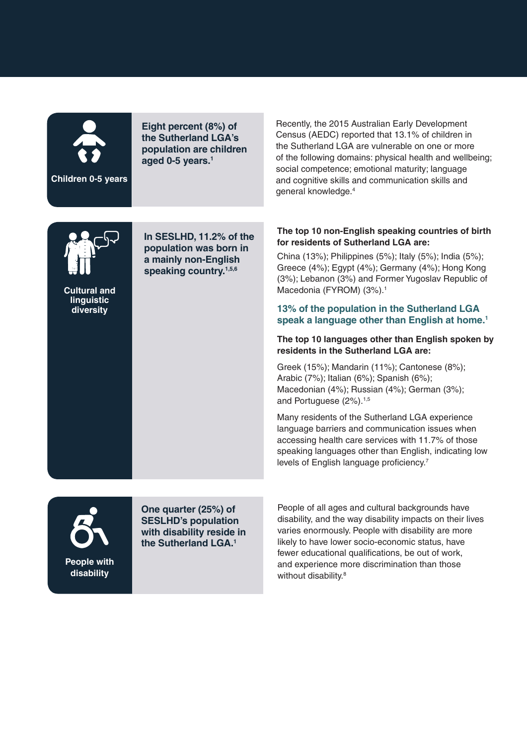

**Children 0-5 years**

**Eight percent (8%) of the Sutherland LGA's population are children aged 0-5 years.1**

Recently, the 2015 Australian Early Development Census (AEDC) reported that 13.1% of children in the Sutherland LGA are vulnerable on one or more of the following domains: physical health and wellbeing; social competence; emotional maturity; language and cognitive skills and communication skills and general knowledge.4



**Cultural and linguistic diversity**

**In SESLHD, 11.2% of the population was born in a mainly non-English speaking country.1,5,6** 

## **The top 10 non-English speaking countries of birth for residents of Sutherland LGA are:**

China (13%); Philippines (5%); Italy (5%); India (5%); Greece (4%); Egypt (4%); Germany (4%); Hong Kong (3%); Lebanon (3%) and Former Yugoslav Republic of Macedonia (FYROM) (3%).<sup>1</sup>

## **13% of the population in the Sutherland LGA speak a language other than English at home.1**

## **The top 10 languages other than English spoken by residents in the Sutherland LGA are:**

Greek (15%); Mandarin (11%); Cantonese (8%); Arabic (7%); Italian (6%); Spanish (6%); Macedonian (4%); Russian (4%); German (3%); and Portuguese (2%).<sup>1,5</sup>

Many residents of the Sutherland LGA experience language barriers and communication issues when accessing health care services with 11.7% of those speaking languages other than English, indicating low levels of English language proficiency.7



**One quarter (25%) of SESLHD's population with disability reside in the Sutherland LGA.1**

People of all ages and cultural backgrounds have disability, and the way disability impacts on their lives varies enormously. People with disability are more likely to have lower socio-economic status, have fewer educational qualifications, be out of work, and experience more discrimination than those without disability.<sup>8</sup>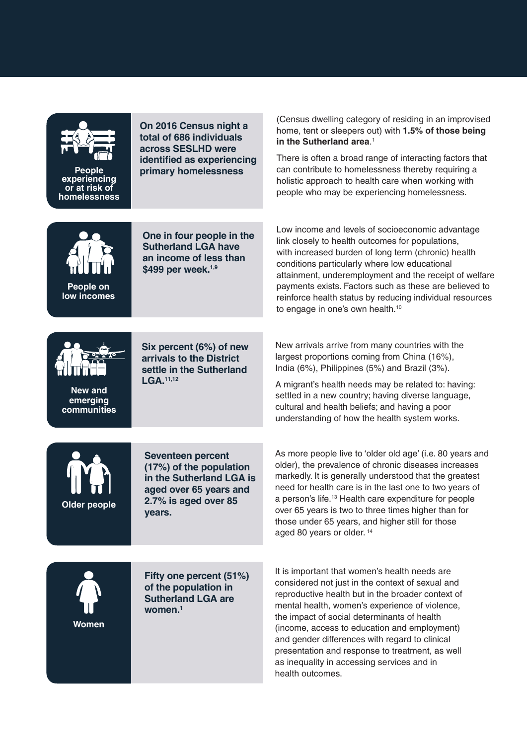

**People experiencing or at risk of homelessness**

**On 2016 Census night a total of 686 individuals across SESLHD were identified as experiencing primary homelessness**

(Census dwelling category of residing in an improvised home, tent or sleepers out) with **1.5% of those being in the Sutherland area**. 1

There is often a broad range of interacting factors that can contribute to homelessness thereby requiring a holistic approach to health care when working with people who may be experiencing homelessness.

Low income and levels of socioeconomic advantage link closely to health outcomes for populations, with increased burden of long term (chronic) health conditions particularly where low educational



**One in four people in the Sutherland LGA have an income of less than \$499 per week.1,9**

attainment, underemployment and the receipt of welfare payments exists. Factors such as these are believed to reinforce health status by reducing individual resources to engage in one's own health.<sup>10</sup>



**New and emerging communities** **Six percent (6%) of new arrivals to the District settle in the Sutherland LGA.11,12**

New arrivals arrive from many countries with the largest proportions coming from China (16%), India (6%), Philippines (5%) and Brazil (3%).

A migrant's health needs may be related to: having: settled in a new country; having diverse language, cultural and health beliefs; and having a poor understanding of how the health system works.



**Women**

**Seventeen percent (17%) of the population in the Sutherland LGA is aged over 65 years and 2.7% is aged over 85** 

**years.** 

**Fifty one percent (51%) of the population in Sutherland LGA are women.1**

As more people live to 'older old age' (i.e. 80 years and older), the prevalence of chronic diseases increases markedly. It is generally understood that the greatest need for health care is in the last one to two years of a person's life.13 Health care expenditure for people over 65 years is two to three times higher than for those under 65 years, and higher still for those aged 80 years or older. 14

It is important that women's health needs are considered not just in the context of sexual and reproductive health but in the broader context of mental health, women's experience of violence, the impact of social determinants of health (income, access to education and employment) and gender differences with regard to clinical presentation and response to treatment, as well as inequality in accessing services and in health outcomes.